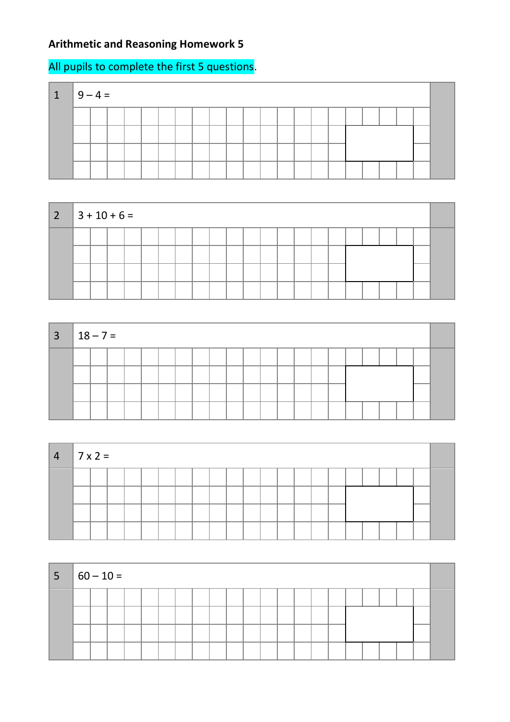## **Arithmetic and Reasoning Homework 5**

## All pupils to complete the first 5 questions.

| -1 | $ 9-4=$ |  |  |  |  |  |  |  |  |  |  |
|----|---------|--|--|--|--|--|--|--|--|--|--|
|    |         |  |  |  |  |  |  |  |  |  |  |
|    |         |  |  |  |  |  |  |  |  |  |  |
|    |         |  |  |  |  |  |  |  |  |  |  |
|    |         |  |  |  |  |  |  |  |  |  |  |



| $3 \mid 18 - 7 =$ |  |  |  |  |  |  |  |  |  |  |  |
|-------------------|--|--|--|--|--|--|--|--|--|--|--|
|                   |  |  |  |  |  |  |  |  |  |  |  |
|                   |  |  |  |  |  |  |  |  |  |  |  |
|                   |  |  |  |  |  |  |  |  |  |  |  |
|                   |  |  |  |  |  |  |  |  |  |  |  |

| $4 \mid 7 \times 2 =$ |  |  |  |  |  |  |  |  |  |  |                   |  |
|-----------------------|--|--|--|--|--|--|--|--|--|--|-------------------|--|
|                       |  |  |  |  |  |  |  |  |  |  |                   |  |
|                       |  |  |  |  |  |  |  |  |  |  |                   |  |
|                       |  |  |  |  |  |  |  |  |  |  | <b>STATISTICS</b> |  |
|                       |  |  |  |  |  |  |  |  |  |  |                   |  |

| 5 <sup>5</sup> | $ 60 - 10 =$ |  |  |  |  |  |  |  |  |  |  |  |
|----------------|--------------|--|--|--|--|--|--|--|--|--|--|--|
|                |              |  |  |  |  |  |  |  |  |  |  |  |
|                |              |  |  |  |  |  |  |  |  |  |  |  |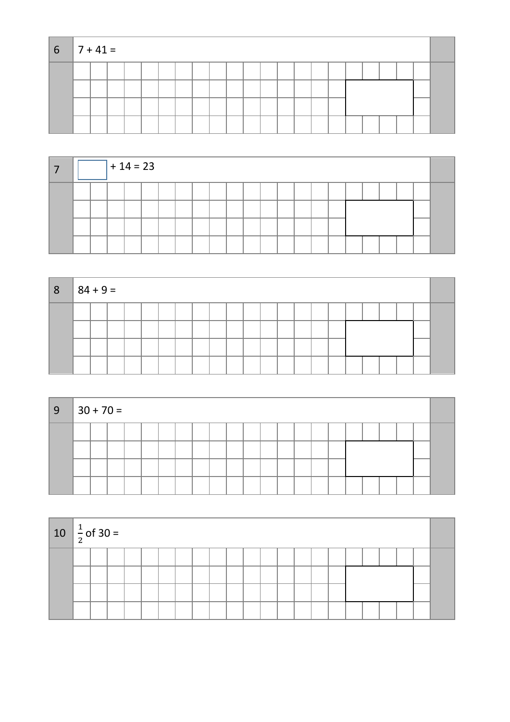| $6 \overline{)7 + 41} =$ |  |  |  |  |  |  |  |  |  |  |  |
|--------------------------|--|--|--|--|--|--|--|--|--|--|--|
|                          |  |  |  |  |  |  |  |  |  |  |  |
|                          |  |  |  |  |  |  |  |  |  |  |  |
|                          |  |  |  |  |  |  |  |  |  |  |  |
|                          |  |  |  |  |  |  |  |  |  |  |  |

|  |  | $+ 14 = 23$ |  |  |  |  |  |  |  |  |  |
|--|--|-------------|--|--|--|--|--|--|--|--|--|
|  |  |             |  |  |  |  |  |  |  |  |  |
|  |  |             |  |  |  |  |  |  |  |  |  |
|  |  |             |  |  |  |  |  |  |  |  |  |
|  |  |             |  |  |  |  |  |  |  |  |  |

| $ 8\rangle$ | $\parallel$ 84 + 9 = |  |  |  |  |  |  |  |  |  |  |  |
|-------------|----------------------|--|--|--|--|--|--|--|--|--|--|--|
|             |                      |  |  |  |  |  |  |  |  |  |  |  |
|             |                      |  |  |  |  |  |  |  |  |  |  |  |
|             |                      |  |  |  |  |  |  |  |  |  |  |  |
|             |                      |  |  |  |  |  |  |  |  |  |  |  |

| 9 | $30 + 70 =$ |  |  |  |  |  |  |  |  |  |  |  |
|---|-------------|--|--|--|--|--|--|--|--|--|--|--|
|   |             |  |  |  |  |  |  |  |  |  |  |  |
|   |             |  |  |  |  |  |  |  |  |  |  |  |
|   |             |  |  |  |  |  |  |  |  |  |  |  |
|   |             |  |  |  |  |  |  |  |  |  |  |  |

| 10 $\frac{1}{2}$ of 30 = |  |  |  |  |  |  |  |  |  |  |  |
|--------------------------|--|--|--|--|--|--|--|--|--|--|--|
|                          |  |  |  |  |  |  |  |  |  |  |  |
|                          |  |  |  |  |  |  |  |  |  |  |  |
|                          |  |  |  |  |  |  |  |  |  |  |  |
|                          |  |  |  |  |  |  |  |  |  |  |  |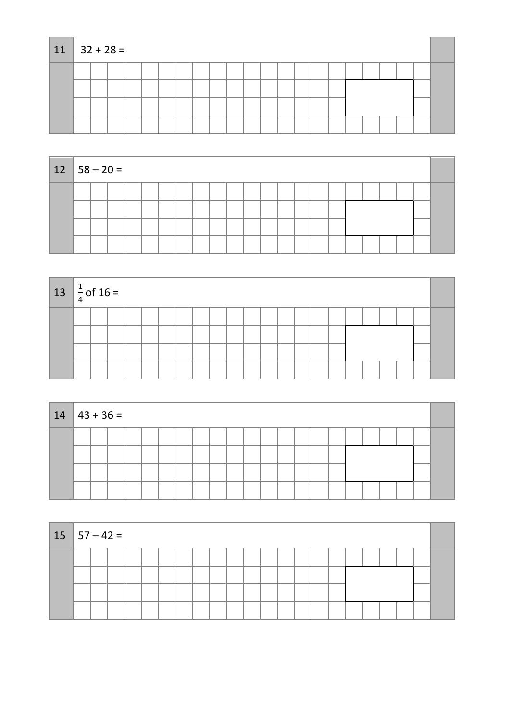| $11 \mid 32 + 28 =$ |  |  |  |  |  |  |  |  |  |  |  |
|---------------------|--|--|--|--|--|--|--|--|--|--|--|
|                     |  |  |  |  |  |  |  |  |  |  |  |
|                     |  |  |  |  |  |  |  |  |  |  |  |
|                     |  |  |  |  |  |  |  |  |  |  |  |
|                     |  |  |  |  |  |  |  |  |  |  |  |

| $12   58 - 20 =$ |  |  |  |  |  |  |  |  |  |  |  |
|------------------|--|--|--|--|--|--|--|--|--|--|--|
|                  |  |  |  |  |  |  |  |  |  |  |  |
|                  |  |  |  |  |  |  |  |  |  |  |  |
|                  |  |  |  |  |  |  |  |  |  |  |  |
|                  |  |  |  |  |  |  |  |  |  |  |  |

| $13 \left  \frac{1}{4} \right.$ of 16 = |  |  |  |  |  |  |  |  |  |  |  |
|-----------------------------------------|--|--|--|--|--|--|--|--|--|--|--|
|                                         |  |  |  |  |  |  |  |  |  |  |  |
|                                         |  |  |  |  |  |  |  |  |  |  |  |
|                                         |  |  |  |  |  |  |  |  |  |  |  |
|                                         |  |  |  |  |  |  |  |  |  |  |  |

| $14 \mid 43 + 36 =$ |  |  |  |  |  |  |  |  |  |  |  |  |  |  |  |  |
|---------------------|--|--|--|--|--|--|--|--|--|--|--|--|--|--|--|--|
|                     |  |  |  |  |  |  |  |  |  |  |  |  |  |  |  |  |
|                     |  |  |  |  |  |  |  |  |  |  |  |  |  |  |  |  |
|                     |  |  |  |  |  |  |  |  |  |  |  |  |  |  |  |  |
|                     |  |  |  |  |  |  |  |  |  |  |  |  |  |  |  |  |

| $15 \mid 57 - 42 =$ |  |  |  |  |  |  |  |  |  |  |  |  |  |  |  |  |
|---------------------|--|--|--|--|--|--|--|--|--|--|--|--|--|--|--|--|
|                     |  |  |  |  |  |  |  |  |  |  |  |  |  |  |  |  |
|                     |  |  |  |  |  |  |  |  |  |  |  |  |  |  |  |  |
|                     |  |  |  |  |  |  |  |  |  |  |  |  |  |  |  |  |
|                     |  |  |  |  |  |  |  |  |  |  |  |  |  |  |  |  |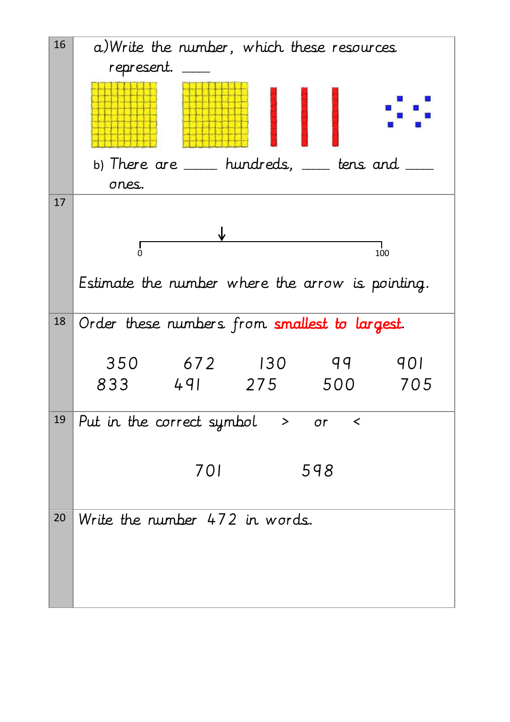| 16 | a) Write the number, which these resources                   |
|----|--------------------------------------------------------------|
|    | represent.                                                   |
|    |                                                              |
|    | b) There are $\_\_\_\_$ hundreds, $\_\_\_\_$ tens and $\_\_$ |
|    | ones.                                                        |
| 17 |                                                              |
|    |                                                              |
|    | $\overline{0}$<br>100                                        |
|    | Estimate the number where the arrow is pointing.             |
|    |                                                              |
| 18 | Order these numbers from smallest to largest.                |
|    |                                                              |
|    | 350<br>672<br>99<br>  130<br>901                             |
|    | 833<br>491<br>275<br>500<br>705                              |
| 19 | Put in the correct symbol $\rightarrow$<br>or                |
|    |                                                              |
|    | 701<br>598                                                   |
|    |                                                              |
|    |                                                              |
| 20 | Write the number 472 in words.                               |
|    |                                                              |
|    |                                                              |
|    |                                                              |